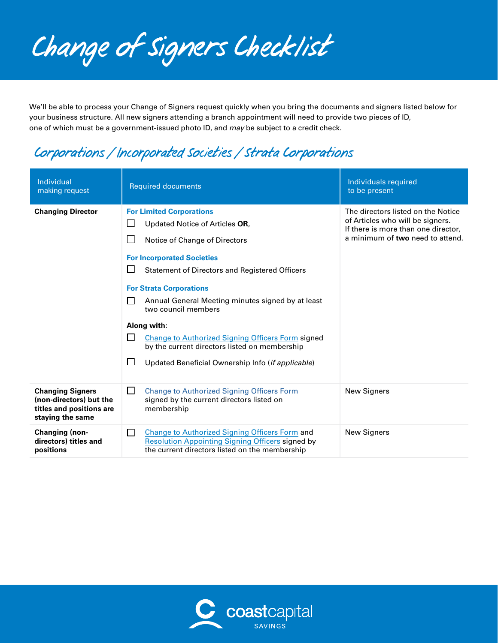*Change of Signers Checklist*

We'll be able to process your Change of Signers request quickly when you bring the documents and signers listed below for your business structure. All new signers attending a branch appointment will need to provide two pieces of ID, one of which must be a government-issued photo ID, and *may* be subject to a credit check.

### *Corporations / Incorporated Societies / Strata Corporations*

| Individual<br>making request                                                                       | <b>Required documents</b>                                                                                                                                                                                                                                                                                                                                                                                                                                                                                                                        | Individuals required<br>to be present                                                                                                             |
|----------------------------------------------------------------------------------------------------|--------------------------------------------------------------------------------------------------------------------------------------------------------------------------------------------------------------------------------------------------------------------------------------------------------------------------------------------------------------------------------------------------------------------------------------------------------------------------------------------------------------------------------------------------|---------------------------------------------------------------------------------------------------------------------------------------------------|
| <b>Changing Director</b>                                                                           | <b>For Limited Corporations</b><br>Updated Notice of Articles OR,<br>Notice of Change of Directors<br><b>For Incorporated Societies</b><br>$\blacksquare$<br><b>Statement of Directors and Registered Officers</b><br><b>For Strata Corporations</b><br>Annual General Meeting minutes signed by at least<br>- 1<br>two council members<br>Along with:<br>ΙI<br><b>Change to Authorized Signing Officers Form signed</b><br>by the current directors listed on membership<br>$\mathbb{R}^n$<br>Updated Beneficial Ownership Info (if applicable) | The directors listed on the Notice<br>of Articles who will be signers.<br>If there is more than one director,<br>a minimum of two need to attend. |
| <b>Changing Signers</b><br>(non-directors) but the<br>titles and positions are<br>staying the same | $\perp$<br><b>Change to Authorized Signing Officers Form</b><br>signed by the current directors listed on<br>membership                                                                                                                                                                                                                                                                                                                                                                                                                          | <b>New Signers</b>                                                                                                                                |
| Changing (non-<br>directors) titles and<br>positions                                               | <b>Change to Authorized Signing Officers Form and</b><br>$\perp$<br><b>Resolution Appointing Signing Officers signed by</b><br>the current directors listed on the membership                                                                                                                                                                                                                                                                                                                                                                    | <b>New Signers</b>                                                                                                                                |